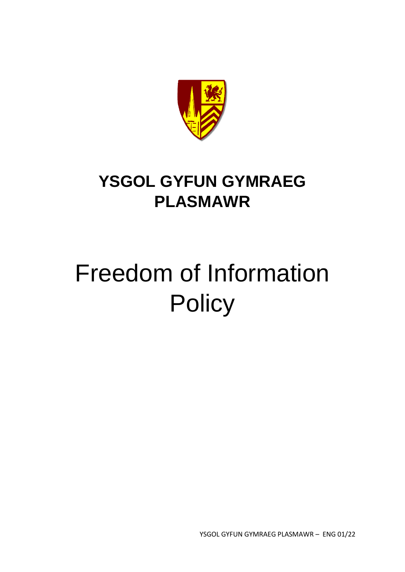

# **YSGOL GYFUN GYMRAEG PLASMAWR**

# Freedom of Information **Policy**

YSGOL GYFUN GYMRAEG PLASMAWR – ENG 01/22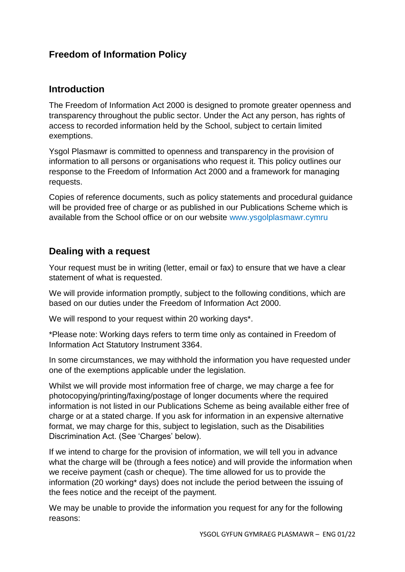## **Freedom of Information Policy**

#### **Introduction**

The Freedom of Information Act 2000 is designed to promote greater openness and transparency throughout the public sector. Under the Act any person, has rights of access to recorded information held by the School, subject to certain limited exemptions.

Ysgol Plasmawr is committed to openness and transparency in the provision of information to all persons or organisations who request it. This policy outlines our response to the Freedom of Information Act 2000 and a framework for managing requests.

Copies of reference documents, such as policy statements and procedural guidance will be provided free of charge or as published in our Publications Scheme which is available from the School office or on our website www.ysgolplasmawr.cymru

#### **Dealing with a request**

Your request must be in writing (letter, email or fax) to ensure that we have a clear statement of what is requested.

We will provide information promptly, subject to the following conditions, which are based on our duties under the Freedom of Information Act 2000.

We will respond to your request within 20 working days\*.

\*Please note: Working days refers to term time only as contained in Freedom of Information Act Statutory Instrument 3364.

In some circumstances, we may withhold the information you have requested under one of the exemptions applicable under the legislation.

Whilst we will provide most information free of charge, we may charge a fee for photocopying/printing/faxing/postage of longer documents where the required information is not listed in our Publications Scheme as being available either free of charge or at a stated charge. If you ask for information in an expensive alternative format, we may charge for this, subject to legislation, such as the Disabilities Discrimination Act. (See 'Charges' below).

If we intend to charge for the provision of information, we will tell you in advance what the charge will be (through a fees notice) and will provide the information when we receive payment (cash or cheque). The time allowed for us to provide the information (20 working\* days) does not include the period between the issuing of the fees notice and the receipt of the payment.

We may be unable to provide the information you request for any for the following reasons: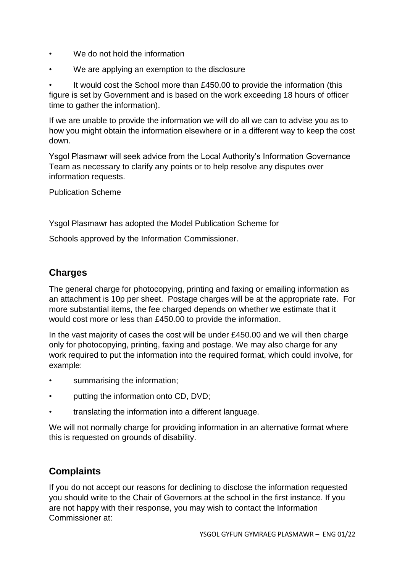- We do not hold the information
- We are applying an exemption to the disclosure

It would cost the School more than £450.00 to provide the information (this figure is set by Government and is based on the work exceeding 18 hours of officer time to gather the information).

If we are unable to provide the information we will do all we can to advise you as to how you might obtain the information elsewhere or in a different way to keep the cost down.

Ysgol Plasmawr will seek advice from the Local Authority's Information Governance Team as necessary to clarify any points or to help resolve any disputes over information requests.

Publication Scheme

Ysgol Plasmawr has adopted the Model Publication Scheme for

Schools approved by the Information Commissioner.

# **Charges**

The general charge for photocopying, printing and faxing or emailing information as an attachment is 10p per sheet. Postage charges will be at the appropriate rate. For more substantial items, the fee charged depends on whether we estimate that it would cost more or less than £450.00 to provide the information.

In the vast majority of cases the cost will be under £450.00 and we will then charge only for photocopying, printing, faxing and postage. We may also charge for any work required to put the information into the required format, which could involve, for example:

- summarising the information;
- putting the information onto CD, DVD;
- translating the information into a different language.

We will not normally charge for providing information in an alternative format where this is requested on grounds of disability.

## **Complaints**

If you do not accept our reasons for declining to disclose the information requested you should write to the Chair of Governors at the school in the first instance. If you are not happy with their response, you may wish to contact the Information Commissioner at: